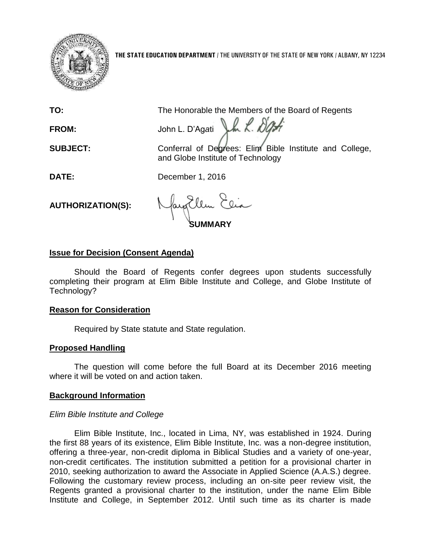

**THE STATE EDUCATION DEPARTMENT** / THE UNIVERSITY OF THE STATE OF NEW YORK / ALBANY, NY 12234

**TO:** The Honorable the Members of the Board of Regents

FROM: John L. D'Ag*ati* John L. D'Agati

**SUBJECT:** Conferral of Degrees: Elim Bible Institute and College, and Globe Institute of Technology

**DATE:** December 1, 2016

**AUTHORIZATION(S):**

**SUMMARY**

## **Issue for Decision (Consent Agenda)**

Should the Board of Regents confer degrees upon students successfully completing their program at Elim Bible Institute and College, and Globe Institute of Technology?

### **Reason for Consideration**

Required by State statute and State regulation.

# **Proposed Handling**

The question will come before the full Board at its December 2016 meeting where it will be voted on and action taken.

### **Background Information**

### *Elim Bible Institute and College*

Elim Bible Institute, Inc., located in Lima, NY, was established in 1924. During the first 88 years of its existence, Elim Bible Institute, Inc. was a non-degree institution, offering a three-year, non-credit diploma in Biblical Studies and a variety of one-year, non-credit certificates. The institution submitted a petition for a provisional charter in 2010, seeking authorization to award the Associate in Applied Science (A.A.S.) degree. Following the customary review process, including an on-site peer review visit, the Regents granted a provisional charter to the institution, under the name Elim Bible Institute and College, in September 2012. Until such time as its charter is made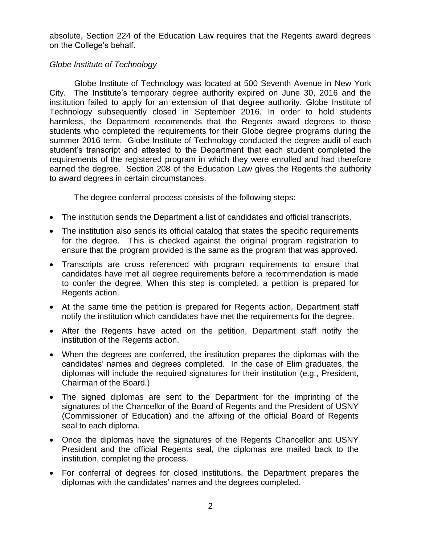absolute, Section 224 of the Education Law requires that the Regents award degrees on the College's behalf.

## *Globe Institute of Technology*

Globe Institute of Technology was located at 500 Seventh Avenue in New York City. The Institute's temporary degree authority expired on June 30, 2016 and the institution failed to apply for an extension of that degree authority. Globe Institute of Technology subsequently closed in September 2016. In order to hold students harmless, the Department recommends that the Regents award degrees to those students who completed the requirements for their Globe degree programs during the summer 2016 term. Globe Institute of Technology conducted the degree audit of each student's transcript and attested to the Department that each student completed the requirements of the registered program in which they were enrolled and had therefore earned the degree. Section 208 of the Education Law gives the Regents the authority to award degrees in certain circumstances.

The degree conferral process consists of the following steps:

- The institution sends the Department a list of candidates and official transcripts.
- The institution also sends its official catalog that states the specific requirements for the degree. This is checked against the original program registration to ensure that the program provided is the same as the program that was approved.
- Transcripts are cross referenced with program requirements to ensure that candidates have met all degree requirements before a recommendation is made to confer the degree. When this step is completed, a petition is prepared for Regents action.
- At the same time the petition is prepared for Regents action, Department staff notify the institution which candidates have met the requirements for the degree.
- After the Regents have acted on the petition, Department staff notify the institution of the Regents action.
- When the degrees are conferred, the institution prepares the diplomas with the candidates' names and degrees completed. In the case of Elim graduates, the diplomas will include the required signatures for their institution (e.g., President, Chairman of the Board.)
- The signed diplomas are sent to the Department for the imprinting of the signatures of the Chancellor of the Board of Regents and the President of USNY (Commissioner of Education) and the affixing of the official Board of Regents seal to each diploma.
- Once the diplomas have the signatures of the Regents Chancellor and USNY President and the official Regents seal, the diplomas are mailed back to the institution, completing the process.
- For conferral of degrees for closed institutions, the Department prepares the diplomas with the candidates' names and the degrees completed.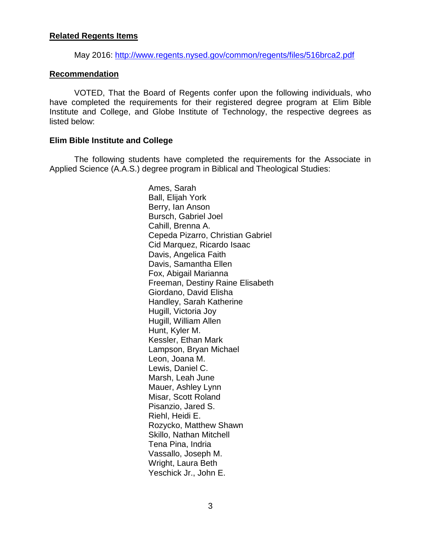#### **Related Regents Items**

May 2016: <http://www.regents.nysed.gov/common/regents/files/516brca2.pdf>

#### **Recommendation**

VOTED, That the Board of Regents confer upon the following individuals, who have completed the requirements for their registered degree program at Elim Bible Institute and College, and Globe Institute of Technology, the respective degrees as listed below:

#### **Elim Bible Institute and College**

The following students have completed the requirements for the Associate in Applied Science (A.A.S.) degree program in Biblical and Theological Studies:

> Ames, Sarah Ball, Elijah York Berry, Ian Anson Bursch, Gabriel Joel Cahill, Brenna A. Cepeda Pizarro, Christian Gabriel Cid Marquez, Ricardo Isaac Davis, Angelica Faith Davis, Samantha Ellen Fox, Abigail Marianna Freeman, Destiny Raine Elisabeth Giordano, David Elisha Handley, Sarah Katherine Hugill, Victoria Joy Hugill, William Allen Hunt, Kyler M. Kessler, Ethan Mark Lampson, Bryan Michael Leon, Joana M. Lewis, Daniel C. Marsh, Leah June Mauer, Ashley Lynn Misar, Scott Roland Pisanzio, Jared S. Riehl, Heidi E. Rozycko, Matthew Shawn Skillo, Nathan Mitchell Tena Pina, Indria Vassallo, Joseph M. Wright, Laura Beth Yeschick Jr., John E.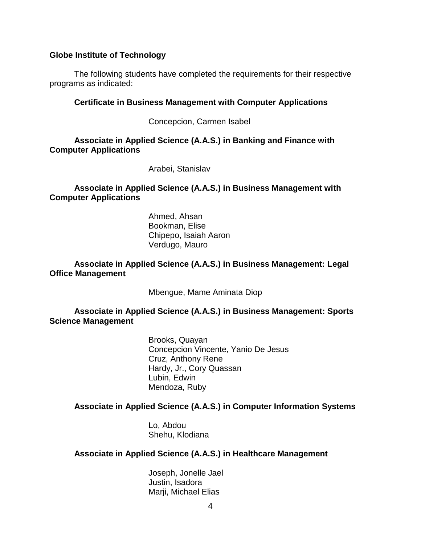#### **Globe Institute of Technology**

The following students have completed the requirements for their respective programs as indicated:

#### **Certificate in Business Management with Computer Applications**

Concepcion, Carmen Isabel

**Associate in Applied Science (A.A.S.) in Banking and Finance with Computer Applications**

Arabei, Stanislav

**Associate in Applied Science (A.A.S.) in Business Management with Computer Applications**

> Ahmed, Ahsan Bookman, Elise Chipepo, Isaiah Aaron Verdugo, Mauro

#### **Associate in Applied Science (A.A.S.) in Business Management: Legal Office Management**

Mbengue, Mame Aminata Diop

**Associate in Applied Science (A.A.S.) in Business Management: Sports Science Management**

> Brooks, Quayan Concepcion Vincente, Yanio De Jesus Cruz, Anthony Rene Hardy, Jr., Cory Quassan Lubin, Edwin Mendoza, Ruby

## **Associate in Applied Science (A.A.S.) in Computer Information Systems**

Lo, Abdou Shehu, Klodiana

### **Associate in Applied Science (A.A.S.) in Healthcare Management**

Joseph, Jonelle Jael Justin, Isadora Marji, Michael Elias